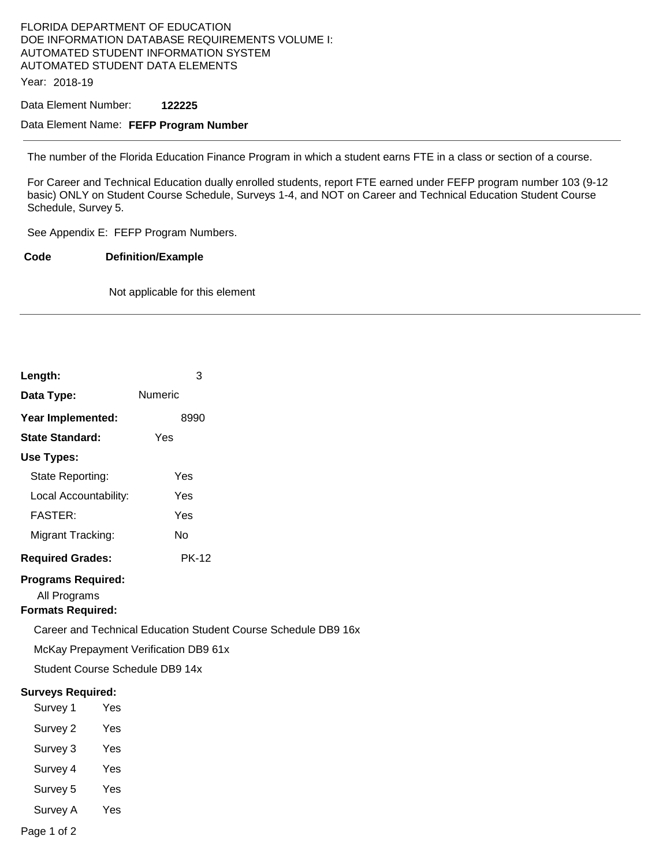## FLORIDA DEPARTMENT OF EDUCATION DOE INFORMATION DATABASE REQUIREMENTS VOLUME I: AUTOMATED STUDENT INFORMATION SYSTEM AUTOMATED STUDENT DATA ELEMENTS

Year: 2018-19

Data Element Number: **122225** 

### Data Element Name: **FEFP Program Number**

The number of the Florida Education Finance Program in which a student earns FTE in a class or section of a course.

For Career and Technical Education dually enrolled students, report FTE earned under FEFP program number 103 (9-12 basic) ONLY on Student Course Schedule, Surveys 1-4, and NOT on Career and Technical Education Student Course Schedule, Survey 5.

See Appendix E: FEFP Program Numbers.

**Code Definition/Example** 

Not applicable for this element

| Length:                                                        |     | 3            |  |
|----------------------------------------------------------------|-----|--------------|--|
| Data Type:                                                     |     | Numeric      |  |
| Year Implemented:                                              |     | 8990         |  |
| <b>State Standard:</b>                                         |     | Yes          |  |
| <b>Use Types:</b>                                              |     |              |  |
| State Reporting:                                               |     | Yes          |  |
| Local Accountability:                                          |     | Yes          |  |
| <b>FASTER:</b>                                                 |     | Yes          |  |
| Migrant Tracking:                                              |     | <b>No</b>    |  |
| <b>Required Grades:</b>                                        |     | <b>PK-12</b> |  |
| <b>Programs Required:</b><br>All Programs                      |     |              |  |
| <b>Formats Required:</b>                                       |     |              |  |
| Career and Technical Education Student Course Schedule DB9 16x |     |              |  |
| McKay Prepayment Verification DB9 61x                          |     |              |  |
| Student Course Schedule DB9 14x                                |     |              |  |
| <b>Surveys Required:</b>                                       |     |              |  |
| Survey 1                                                       | Yes |              |  |
| Survey 2                                                       | Yes |              |  |
| Survey 3                                                       | Yes |              |  |
| Survey 4                                                       | Yes |              |  |
| Survey 5                                                       | Yes |              |  |
| Survey A                                                       | Yes |              |  |
| Page 1 of 2                                                    |     |              |  |